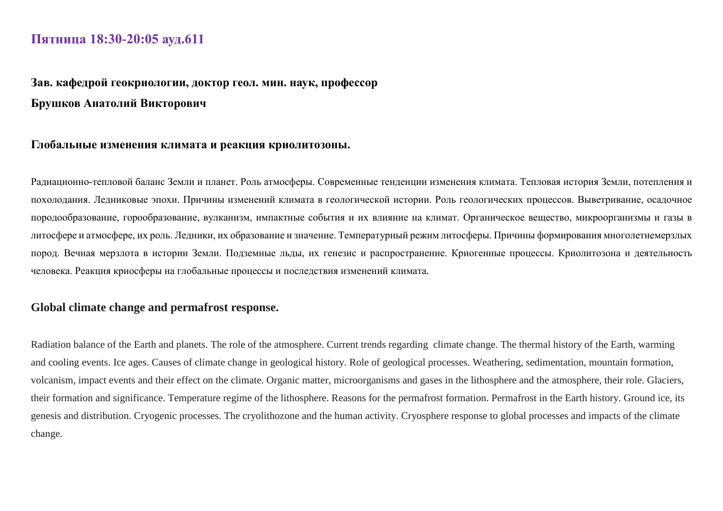## **Пятница 18:30-20:05 ауд.611**

# **Зав. кафедрой геокриологии, доктор геол. мин. наук, профессор Брушков Анатолий Викторович**

#### **Глобальные изменения климата и реакция криолитозоны.**

Радиационно-тепловой баланс Земли и планет. Роль атмосферы. Современные тенденции изменения климата. Тепловая история Земли, потепления и похолодания. Ледниковые эпохи. Причины изменений климата в геологической истории. Роль геологических процессов. Выветривание, осадочное породообразование, горообразование, вулканизм, импактные события и их влияние на климат. Органическое вещество, микроорганизмы и газы в литосфере и атмосфере, их роль. Ледники, их образование и значение. Температурный режим литосферы. Причины формирования многолетнемерзлых пород. Вечная мерзлота в истории Земли. Подземные льды, их генезис и распространение. Криогенные процессы. Криолитозона и деятельность человека. Реакция криосферы на глобальные процессы и последствия изменений климата.

#### **Global climate change and permafrost response.**

Radiation balance of the Earth and planets. The role of the atmosphere. Current trends regarding climate change. The thermal history of the Earth, warming and cooling events. Ice ages. Causes of climate change in geological history. Role of geological processes. Weathering, sedimentation, mountain formation, volcanism, impact events and their effect on the climate. Organic matter, microorganisms and gases in the lithosphere and the atmosphere, their role. Glaciers, their formation and significance. Temperature regime of the lithosphere. Reasons for the permafrost formation. Permafrost in the Earth history. Ground ice, its genesis and distribution. Cryogenic processes. The cryolithozone and the human activity. Cryosphere response to global processes and impacts of the climate change.